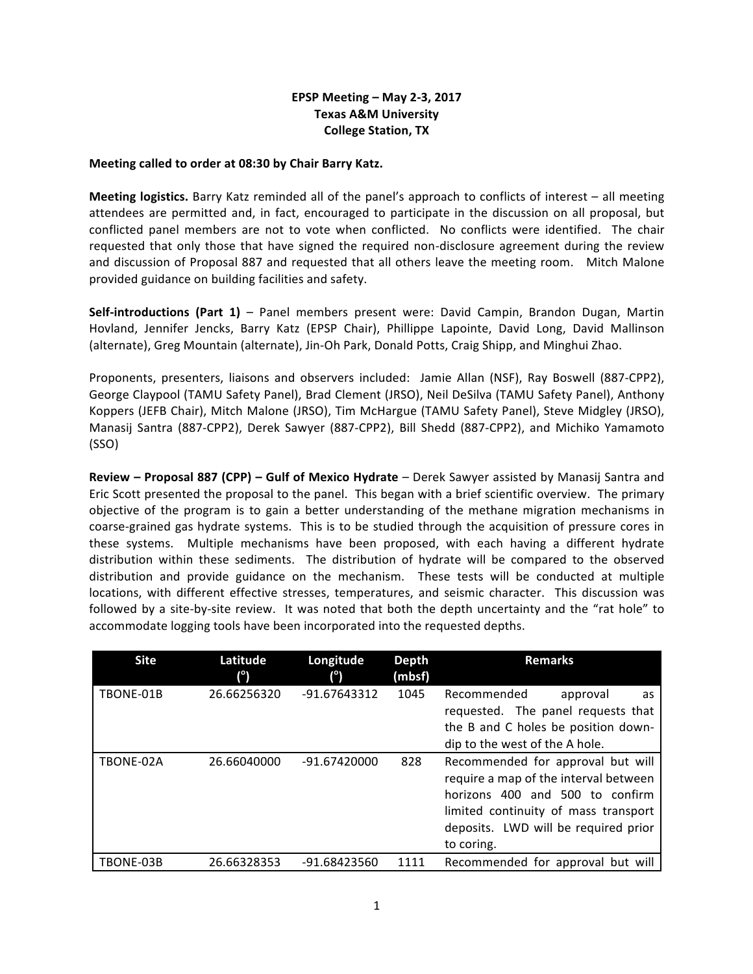## **EPSP Meeting – May 2-3, 2017 Texas A&M University College Station, TX**

## **Meeting called to order at 08:30 by Chair Barry Katz.**

**Meeting logistics.** Barry Katz reminded all of the panel's approach to conflicts of interest – all meeting attendees are permitted and, in fact, encouraged to participate in the discussion on all proposal, but conflicted panel members are not to vote when conflicted. No conflicts were identified. The chair requested that only those that have signed the required non-disclosure agreement during the review and discussion of Proposal 887 and requested that all others leave the meeting room. Mitch Malone provided guidance on building facilities and safety.

**Self-introductions (Part 1)** – Panel members present were: David Campin, Brandon Dugan, Martin Hovland, Jennifer Jencks, Barry Katz (EPSP Chair), Phillippe Lapointe, David Long, David Mallinson (alternate), Greg Mountain (alternate), Jin-Oh Park, Donald Potts, Craig Shipp, and Minghui Zhao.

Proponents, presenters, liaisons and observers included: Jamie Allan (NSF), Ray Boswell (887-CPP2), George Claypool (TAMU Safety Panel), Brad Clement (JRSO), Neil DeSilva (TAMU Safety Panel), Anthony Koppers (JEFB Chair), Mitch Malone (JRSO), Tim McHargue (TAMU Safety Panel), Steve Midgley (JRSO), Manasij Santra (887-CPP2), Derek Sawyer (887-CPP2), Bill Shedd (887-CPP2), and Michiko Yamamoto (SSO)

**Review – Proposal 887 (CPP) – Gulf of Mexico Hydrate** – Derek Sawyer assisted by Manasij Santra and Eric Scott presented the proposal to the panel. This began with a brief scientific overview. The primary objective of the program is to gain a better understanding of the methane migration mechanisms in coarse-grained gas hydrate systems. This is to be studied through the acquisition of pressure cores in these systems. Multiple mechanisms have been proposed, with each having a different hydrate distribution within these sediments. The distribution of hydrate will be compared to the observed distribution and provide guidance on the mechanism. These tests will be conducted at multiple locations, with different effective stresses, temperatures, and seismic character. This discussion was followed by a site-by-site review. It was noted that both the depth uncertainty and the "rat hole" to accommodate logging tools have been incorporated into the requested depths.

| <b>Site</b> | Latitude<br>(°) | Longitude<br>$(^\circ)$ | <b>Depth</b><br>(mbsf) | <b>Remarks</b>                                                                                                                                                                                              |
|-------------|-----------------|-------------------------|------------------------|-------------------------------------------------------------------------------------------------------------------------------------------------------------------------------------------------------------|
| TBONE-01B   | 26.66256320     | -91.67643312            | 1045                   | Recommended<br>approval<br>as<br>requested. The panel requests that<br>the B and C holes be position down-<br>dip to the west of the A hole.                                                                |
| TBONE-02A   | 26.66040000     | -91.67420000            | 828                    | Recommended for approval but will<br>require a map of the interval between<br>horizons 400 and 500 to confirm<br>limited continuity of mass transport<br>deposits. LWD will be required prior<br>to coring. |
| TBONE-03B   | 26.66328353     | -91.68423560            | 1111                   | Recommended for approval but will                                                                                                                                                                           |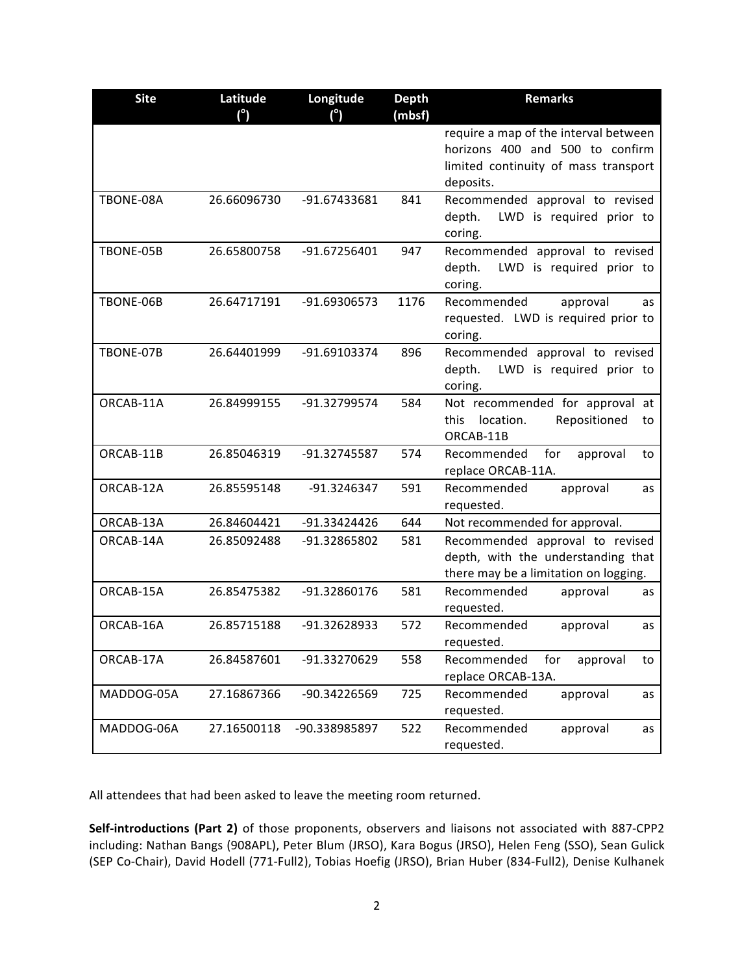| <b>Site</b> | Latitude<br>(°) | Longitude<br>$(^\circ)$ | <b>Depth</b><br>(mbsf) | <b>Remarks</b>                                                                                                                |
|-------------|-----------------|-------------------------|------------------------|-------------------------------------------------------------------------------------------------------------------------------|
|             |                 |                         |                        | require a map of the interval between<br>horizons 400 and 500 to confirm<br>limited continuity of mass transport<br>deposits. |
| TBONE-08A   | 26.66096730     | -91.67433681            | 841                    | Recommended approval to revised<br>LWD is required prior to<br>depth.<br>coring.                                              |
| TBONE-05B   | 26.65800758     | -91.67256401            | 947                    | Recommended approval to revised<br>depth.<br>LWD is required prior to<br>coring.                                              |
| TBONE-06B   | 26.64717191     | -91.69306573            | 1176                   | Recommended<br>approval<br>as<br>requested. LWD is required prior to<br>coring.                                               |
| TBONE-07B   | 26.64401999     | -91.69103374            | 896                    | Recommended approval to revised<br>depth.<br>LWD is required prior to<br>coring.                                              |
| ORCAB-11A   | 26.84999155     | -91.32799574            | 584                    | Not recommended for approval at<br>Repositioned<br>location.<br>this<br>to<br>ORCAB-11B                                       |
| ORCAB-11B   | 26.85046319     | -91.32745587            | 574                    | for<br>Recommended<br>approval<br>to<br>replace ORCAB-11A.                                                                    |
| ORCAB-12A   | 26.85595148     | -91.3246347             | 591                    | Recommended<br>approval<br>as<br>requested.                                                                                   |
| ORCAB-13A   | 26.84604421     | -91.33424426            | 644                    | Not recommended for approval.                                                                                                 |
| ORCAB-14A   | 26.85092488     | -91.32865802            | 581                    | Recommended approval to revised<br>depth, with the understanding that<br>there may be a limitation on logging.                |
| ORCAB-15A   | 26.85475382     | -91.32860176            | 581                    | Recommended<br>approval<br>as<br>requested.                                                                                   |
| ORCAB-16A   | 26.85715188     | -91.32628933            | 572                    | Recommended<br>approval<br>as<br>requested.                                                                                   |
| ORCAB-17A   | 26.84587601     | -91.33270629            | 558                    | Recommended<br>for<br>approval<br>to<br>replace ORCAB-13A.                                                                    |
| MADDOG-05A  | 27.16867366     | -90.34226569            | 725                    | Recommended<br>approval<br>as<br>requested.                                                                                   |
| MADDOG-06A  | 27.16500118     | -90.338985897           | 522                    | Recommended<br>approval<br>as<br>requested.                                                                                   |

All attendees that had been asked to leave the meeting room returned.

Self-introductions (Part 2) of those proponents, observers and liaisons not associated with 887-CPP2 including: Nathan Bangs (908APL), Peter Blum (JRSO), Kara Bogus (JRSO), Helen Feng (SSO), Sean Gulick (SEP Co-Chair), David Hodell (771-Full2), Tobias Hoefig (JRSO), Brian Huber (834-Full2), Denise Kulhanek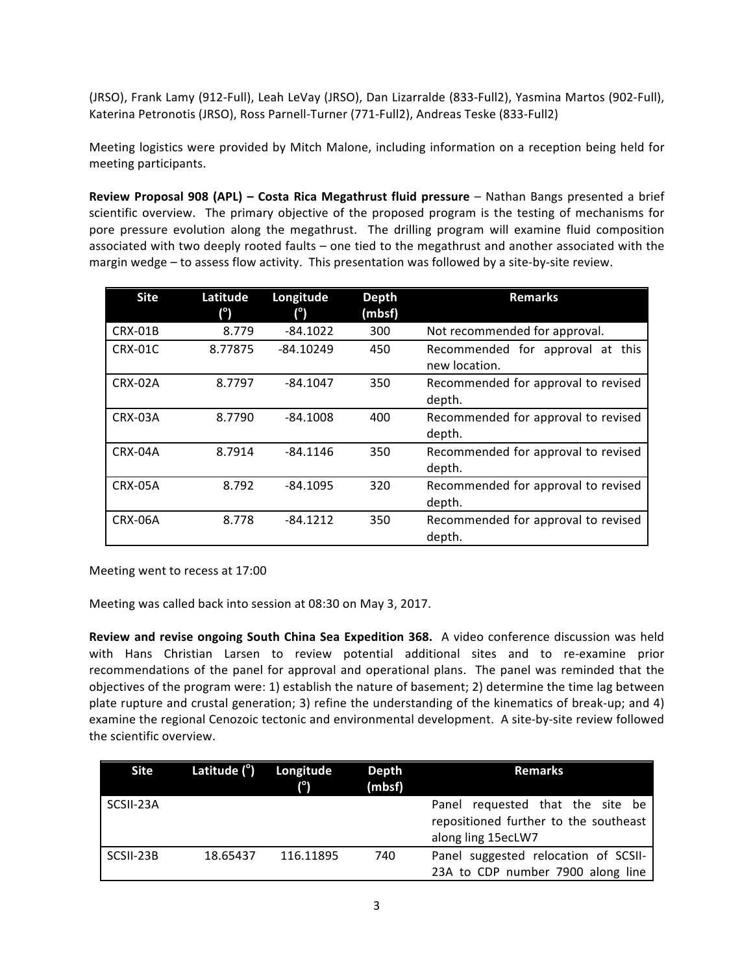(JRSO), Frank Lamy (912-Full), Leah LeVay (JRSO), Dan Lizarralde (833-Full2), Yasmina Martos (902-Full), Katerina Petronotis (JRSO), Ross Parnell-Turner (771-Full2), Andreas Teske (833-Full2)

Meeting logistics were provided by Mitch Malone, including information on a reception being held for meeting participants.

**Review Proposal 908 (APL) - Costa Rica Megathrust fluid pressure** - Nathan Bangs presented a brief scientific overview. The primary objective of the proposed program is the testing of mechanisms for pore pressure evolution along the megathrust. The drilling program will examine fluid composition associated with two deeply rooted faults – one tied to the megathrust and another associated with the margin wedge – to assess flow activity. This presentation was followed by a site-by-site review.

| <b>Site</b> | Latitude<br>(°) | Longitude<br>(°) | <b>Depth</b><br>(mbsf) | <b>Remarks</b>                                    |
|-------------|-----------------|------------------|------------------------|---------------------------------------------------|
| CRX-01B     | 8.779           | $-84.1022$       | 300                    | Not recommended for approval.                     |
| CRX-01C     | 8.77875         | $-84.10249$      | 450                    | Recommended for approval at this<br>new location. |
| CRX-02A     | 8.7797          | $-84.1047$       | 350                    | Recommended for approval to revised<br>depth.     |
| CRX-03A     | 8.7790          | $-84.1008$       | 400                    | Recommended for approval to revised<br>depth.     |
| CRX-04A     | 8.7914          | $-84.1146$       | 350                    | Recommended for approval to revised<br>depth.     |
| CRX-05A     | 8.792           | $-84.1095$       | 320                    | Recommended for approval to revised<br>depth.     |
| CRX-06A     | 8.778           | $-84.1212$       | 350                    | Recommended for approval to revised<br>depth.     |

Meeting went to recess at 17:00

Meeting was called back into session at 08:30 on May 3, 2017.

**Review and revise ongoing South China Sea Expedition 368.** A video conference discussion was held with Hans Christian Larsen to review potential additional sites and to re-examine prior recommendations of the panel for approval and operational plans. The panel was reminded that the objectives of the program were: 1) establish the nature of basement; 2) determine the time lag between plate rupture and crustal generation; 3) refine the understanding of the kinematics of break-up; and 4) examine the regional Cenozoic tectonic and environmental development. A site-by-site review followed the scientific overview.

| Site      | Latitude ( <sup>o</sup> ) Longitude | $\binom{1}{0}$ | Depth<br>(mbsf) | Remarks                                                                                         |
|-----------|-------------------------------------|----------------|-----------------|-------------------------------------------------------------------------------------------------|
| SCSII-23A |                                     |                |                 | Panel requested that the site be<br>repositioned further to the southeast<br>along ling 15ecLW7 |
| SCSII-23B | 18.65437                            | 116.11895      | 740             | Panel suggested relocation of SCSII-<br>23A to CDP number 7900 along line                       |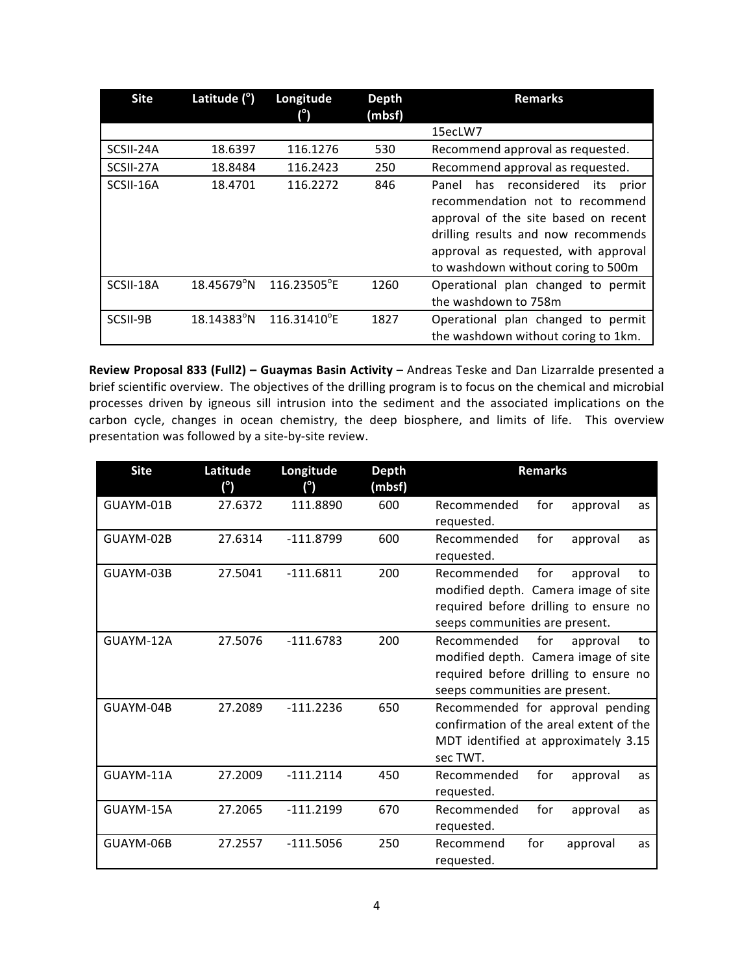| <b>Site</b> | Latitude $(°)$      | Longitude<br>(၂ | <b>Depth</b><br>(mbsf) | <b>Remarks</b>                                                                                                                                                                                                                            |
|-------------|---------------------|-----------------|------------------------|-------------------------------------------------------------------------------------------------------------------------------------------------------------------------------------------------------------------------------------------|
|             |                     |                 |                        | 15ecLW7                                                                                                                                                                                                                                   |
| SCSII-24A   | 18.6397             | 116.1276        | 530                    | Recommend approval as requested.                                                                                                                                                                                                          |
| SCSII-27A   | 18.8484             | 116.2423        | 250                    | Recommend approval as requested.                                                                                                                                                                                                          |
| SCSII-16A   | 18.4701             | 116.2272        | 846                    | has reconsidered<br>its<br>Panel<br>prior<br>recommendation not to recommend<br>approval of the site based on recent<br>drilling results and now recommends<br>approval as requested, with approval<br>to washdown without coring to 500m |
| SCSII-18A   | $18.45679^{\circ}N$ | 116.23505°E     | 1260                   | Operational plan changed to permit<br>the washdown to 758m                                                                                                                                                                                |
| SCSII-9B    | $18.14383^{\circ}N$ | 116.31410°E     | 1827                   | Operational plan changed to permit<br>the washdown without coring to 1km.                                                                                                                                                                 |

**Review Proposal 833 (Full2) - Guaymas Basin Activity** - Andreas Teske and Dan Lizarralde presented a brief scientific overview. The objectives of the drilling program is to focus on the chemical and microbial processes driven by igneous sill intrusion into the sediment and the associated implications on the carbon cycle, changes in ocean chemistry, the deep biosphere, and limits of life. This overview presentation was followed by a site-by-site review.

| <b>Site</b> | Latitude<br>$(^\circ)$ | Longitude<br>(°) | <b>Depth</b><br>(mbsf) | <b>Remarks</b>                                                                                                                                          |
|-------------|------------------------|------------------|------------------------|---------------------------------------------------------------------------------------------------------------------------------------------------------|
| GUAYM-01B   | 27.6372                | 111.8890         | 600                    | for<br>Recommended<br>approval<br>as<br>requested.                                                                                                      |
| GUAYM-02B   | 27.6314                | $-111.8799$      | 600                    | Recommended<br>for<br>approval<br>as<br>requested.                                                                                                      |
| GUAYM-03B   | 27.5041                | $-111.6811$      | 200                    | Recommended<br>for<br>approval<br>to<br>modified depth. Camera image of site<br>required before drilling to ensure no<br>seeps communities are present. |
| GUAYM-12A   | 27.5076                | $-111.6783$      | 200                    | for<br>Recommended<br>approval<br>to<br>modified depth. Camera image of site<br>required before drilling to ensure no<br>seeps communities are present. |
| GUAYM-04B   | 27.2089                | $-111.2236$      | 650                    | Recommended for approval pending<br>confirmation of the areal extent of the<br>MDT identified at approximately 3.15<br>sec TWT.                         |
| GUAYM-11A   | 27.2009                | $-111.2114$      | 450                    | Recommended<br>for<br>approval<br>as<br>requested.                                                                                                      |
| GUAYM-15A   | 27.2065                | $-111.2199$      | 670                    | Recommended<br>for<br>approval<br>as<br>requested.                                                                                                      |
| GUAYM-06B   | 27.2557                | $-111.5056$      | 250                    | Recommend<br>for<br>approval<br>as<br>requested.                                                                                                        |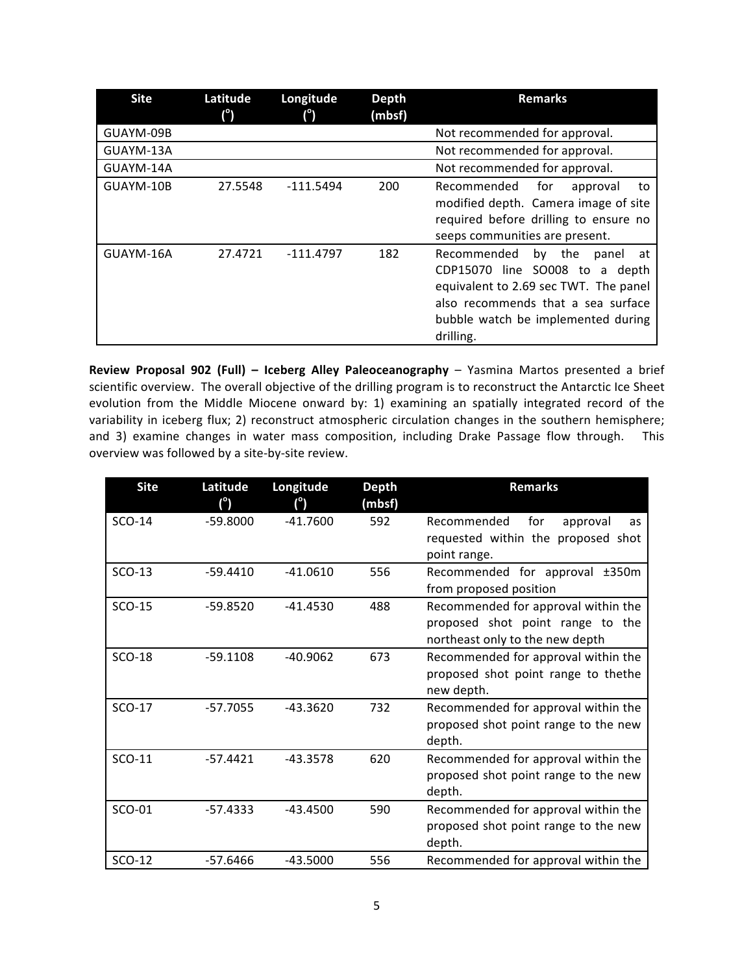| <b>Site</b> | Latitude<br>(°) | Longitude<br>(°) | <b>Depth</b><br>(mbsf) | <b>Remarks</b>                                                                                                                                                                                              |
|-------------|-----------------|------------------|------------------------|-------------------------------------------------------------------------------------------------------------------------------------------------------------------------------------------------------------|
| GUAYM-09B   |                 |                  |                        | Not recommended for approval.                                                                                                                                                                               |
| GUAYM-13A   |                 |                  |                        | Not recommended for approval.                                                                                                                                                                               |
| GUAYM-14A   |                 |                  |                        | Not recommended for approval.                                                                                                                                                                               |
| GUAYM-10B   | 27.5548         | $-111.5494$      | 200                    | for<br>Recommended<br>approval<br>to<br>modified depth. Camera image of site<br>required before drilling to ensure no<br>seeps communities are present.                                                     |
| GUAYM-16A   | 27.4721         | -111.4797        | 182                    | Recommended<br>the<br>by<br>at<br>panel<br>CDP15070 line SO008 to a depth<br>equivalent to 2.69 sec TWT. The panel<br>also recommends that a sea surface<br>bubble watch be implemented during<br>drilling. |

**Review Proposal 902 (Full) - Iceberg Alley Paleoceanography** - Yasmina Martos presented a brief scientific overview. The overall objective of the drilling program is to reconstruct the Antarctic Ice Sheet evolution from the Middle Miocene onward by: 1) examining an spatially integrated record of the variability in iceberg flux; 2) reconstruct atmospheric circulation changes in the southern hemisphere; and 3) examine changes in water mass composition, including Drake Passage flow through. This overview was followed by a site-by-site review.

| <b>Site</b> | Latitude<br>(°) | Longitude<br>$(^\circ)$ | <b>Depth</b><br>(mbsf) | <b>Remarks</b>                       |
|-------------|-----------------|-------------------------|------------------------|--------------------------------------|
| $SCO-14$    | $-59.8000$      | $-41.7600$              | 592                    | Recommended<br>for<br>approval<br>as |
|             |                 |                         |                        | requested within the proposed shot   |
|             |                 |                         |                        | point range.                         |
| $SCO-13$    | $-59.4410$      | $-41.0610$              | 556                    | Recommended for approval ±350m       |
|             |                 |                         |                        | from proposed position               |
| SCO-15      | $-59.8520$      | $-41.4530$              | 488                    | Recommended for approval within the  |
|             |                 |                         |                        | proposed shot point range to the     |
|             |                 |                         |                        | northeast only to the new depth      |
| $SCO-18$    | $-59.1108$      | $-40.9062$              | 673                    | Recommended for approval within the  |
|             |                 |                         |                        | proposed shot point range to thethe  |
|             |                 |                         |                        | new depth.                           |
| SCO-17      | $-57.7055$      | $-43.3620$              | 732                    | Recommended for approval within the  |
|             |                 |                         |                        | proposed shot point range to the new |
|             |                 |                         |                        | depth.                               |
| SCO-11      | $-57.4421$      | $-43.3578$              | 620                    | Recommended for approval within the  |
|             |                 |                         |                        | proposed shot point range to the new |
|             |                 |                         |                        | depth.                               |
| SCO-01      | $-57.4333$      | $-43.4500$              | 590                    | Recommended for approval within the  |
|             |                 |                         |                        | proposed shot point range to the new |
|             |                 |                         |                        | depth.                               |
| SCO-12      | $-57.6466$      | $-43.5000$              | 556                    | Recommended for approval within the  |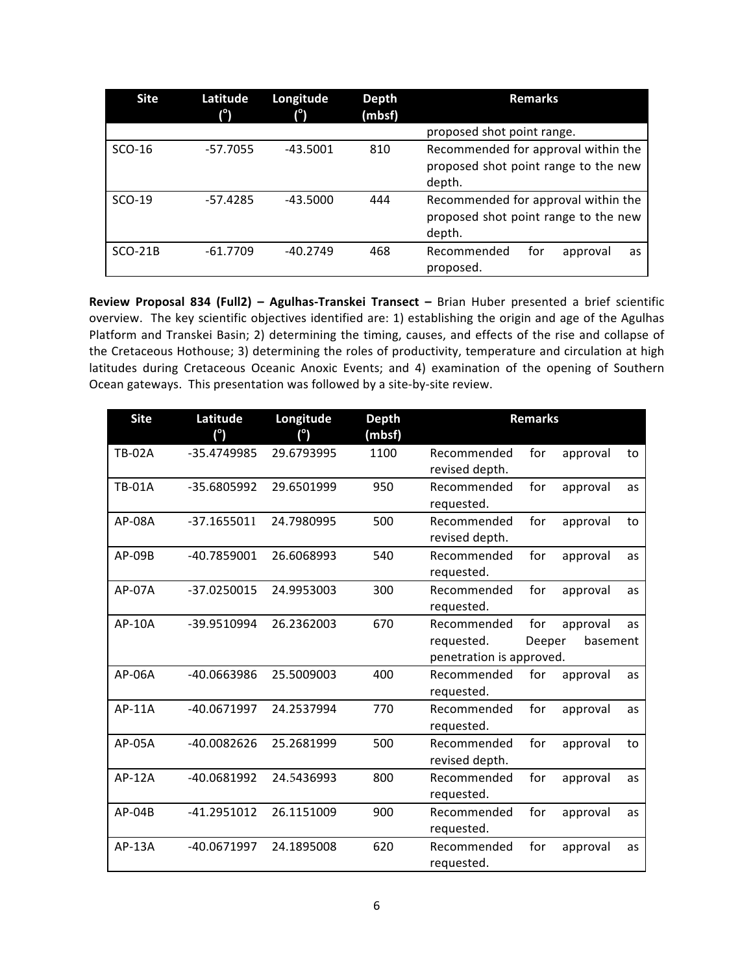| <b>Site</b> | Latitude<br>(°) | Longitude  | <b>Depth</b><br>(mbsf) | <b>Remarks</b>                                                                        |
|-------------|-----------------|------------|------------------------|---------------------------------------------------------------------------------------|
|             |                 |            |                        | proposed shot point range.                                                            |
| SCO-16      | $-57.7055$      | $-43.5001$ | 810                    | Recommended for approval within the<br>proposed shot point range to the new<br>depth. |
| $SCO-19$    | $-57.4285$      | $-43.5000$ | 444                    | Recommended for approval within the<br>proposed shot point range to the new<br>depth. |
| $SCO-21B$   | $-61.7709$      | $-40.2749$ | 468                    | for<br>Recommended<br>approval<br>as<br>proposed.                                     |

**Review Proposal 834 (Full2) - Agulhas-Transkei Transect - Brian Huber presented a brief scientific** overview. The key scientific objectives identified are: 1) establishing the origin and age of the Agulhas Platform and Transkei Basin; 2) determining the timing, causes, and effects of the rise and collapse of the Cretaceous Hothouse; 3) determining the roles of productivity, temperature and circulation at high latitudes during Cretaceous Oceanic Anoxic Events; and 4) examination of the opening of Southern Ocean gateways. This presentation was followed by a site-by-site review.

| <b>Site</b>   | Latitude<br>(°) | Longitude<br>(°) | <b>Depth</b><br>(mbsf) |                                                       | <b>Remarks</b> |                      |    |
|---------------|-----------------|------------------|------------------------|-------------------------------------------------------|----------------|----------------------|----|
| <b>TB-02A</b> | -35.4749985     | 29.6793995       | 1100                   | Recommended<br>revised depth.                         | for            | approval             | to |
| <b>TB-01A</b> | -35.6805992     | 29.6501999       | 950                    | Recommended<br>requested.                             | for            | approval             | as |
| AP-08A        | $-37.1655011$   | 24.7980995       | 500                    | Recommended<br>revised depth.                         | for            | approval             | to |
| AP-09B        | -40.7859001     | 26.6068993       | 540                    | Recommended<br>requested.                             | for            | approval             | as |
| AP-07A        | -37.0250015     | 24.9953003       | 300                    | Recommended<br>requested.                             | for            | approval             | as |
| AP-10A        | -39.9510994     | 26.2362003       | 670                    | Recommended<br>requested.<br>penetration is approved. | for<br>Deeper  | approval<br>basement | as |
| AP-06A        | -40.0663986     | 25.5009003       | 400                    | Recommended<br>requested.                             | for            | approval             | as |
| AP-11A        | -40.0671997     | 24.2537994       | 770                    | Recommended<br>requested.                             | for            | approval             | as |
| $AP-05A$      | -40.0082626     | 25.2681999       | 500                    | Recommended<br>revised depth.                         | for            | approval             | to |
| AP-12A        | -40.0681992     | 24.5436993       | 800                    | Recommended<br>requested.                             | for            | approval             | as |
| AP-04B        | -41.2951012     | 26.1151009       | 900                    | Recommended<br>requested.                             | for            | approval             | as |
| AP-13A        | -40.0671997     | 24.1895008       | 620                    | Recommended<br>requested.                             | for            | approval             | as |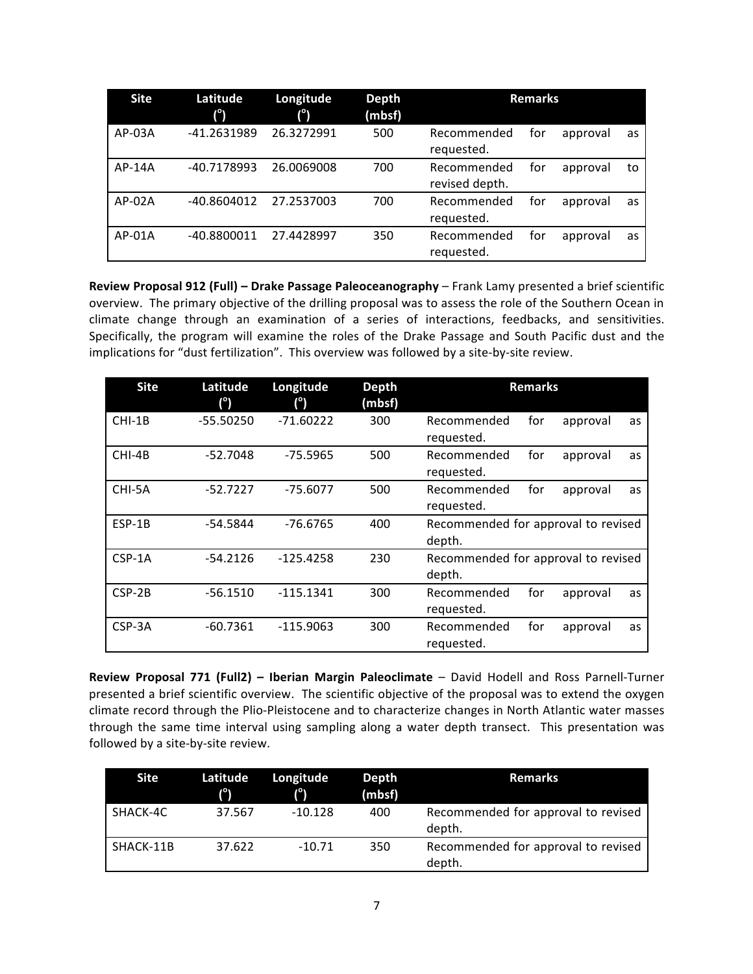| <b>Site</b> | Latitude<br>$(^\circ)$ | Longitude<br>(°) | <b>Depth</b><br>(mbsf) |                               | <b>Remarks</b> |          |    |
|-------------|------------------------|------------------|------------------------|-------------------------------|----------------|----------|----|
| $AP-03A$    | -41.2631989            | 26.3272991       | 500                    | Recommended<br>requested.     | for            | approval | as |
| $AP-14A$    | -40.7178993            | 26.0069008       | 700                    | Recommended<br>revised depth. | for            | approval | to |
| $AP-02A$    | -40.8604012            | 27.2537003       | 700                    | Recommended<br>requested.     | for            | approval | as |
| $AP-01A$    | -40.8800011            | 27.4428997       | 350                    | Recommended<br>requested.     | for            | approval | as |

**Review Proposal 912 (Full) – Drake Passage Paleoceanography – Frank Lamy presented a brief scientific** overview. The primary objective of the drilling proposal was to assess the role of the Southern Ocean in climate change through an examination of a series of interactions, feedbacks, and sensitivities. Specifically, the program will examine the roles of the Drake Passage and South Pacific dust and the implications for "dust fertilization". This overview was followed by a site-by-site review.

| <b>Site</b> | Latitude<br>(°) | Longitude<br>(°) | <b>Depth</b><br>(mbsf) | <b>Remarks</b>                                     |
|-------------|-----------------|------------------|------------------------|----------------------------------------------------|
| $CHI-1B$    | $-55.50250$     | $-71.60222$      | 300                    | for<br>Recommended<br>approval<br>as<br>requested. |
| CHI-4B      | $-52.7048$      | $-75.5965$       | 500                    | for<br>Recommended<br>approval<br>as<br>requested. |
| CHI-5A      | $-52.7227$      | $-75.6077$       | 500                    | for<br>Recommended<br>approval<br>as<br>requested. |
| ESP-1B      | $-54.5844$      | $-76.6765$       | 400                    | Recommended for approval to revised<br>depth.      |
| $CSP-1A$    | $-54.2126$      | $-125.4258$      | 230                    | Recommended for approval to revised<br>depth.      |
| $CSP-2B$    | $-56.1510$      | $-115.1341$      | 300                    | for<br>Recommended<br>approval<br>as<br>requested. |
| CSP-3A      | $-60.7361$      | $-115.9063$      | 300                    | for<br>Recommended<br>approval<br>as<br>requested. |

**Review Proposal 771 (Full2) – Iberian Margin Paleoclimate** – David Hodell and Ross Parnell-Turner presented a brief scientific overview. The scientific objective of the proposal was to extend the oxygen climate record through the Plio-Pleistocene and to characterize changes in North Atlantic water masses through the same time interval using sampling along a water depth transect. This presentation was followed by a site-by-site review.

| Site      | Latitude<br>$(^\circ)$ | Longitude<br>1°) | Depth<br>(mbsf) | <b>Remarks</b>                                |
|-----------|------------------------|------------------|-----------------|-----------------------------------------------|
| SHACK-4C  | 37.567                 | $-10.128$        | 400             | Recommended for approval to revised<br>depth. |
| SHACK-11B | 37.622                 | $-10.71$         | 350             | Recommended for approval to revised<br>depth. |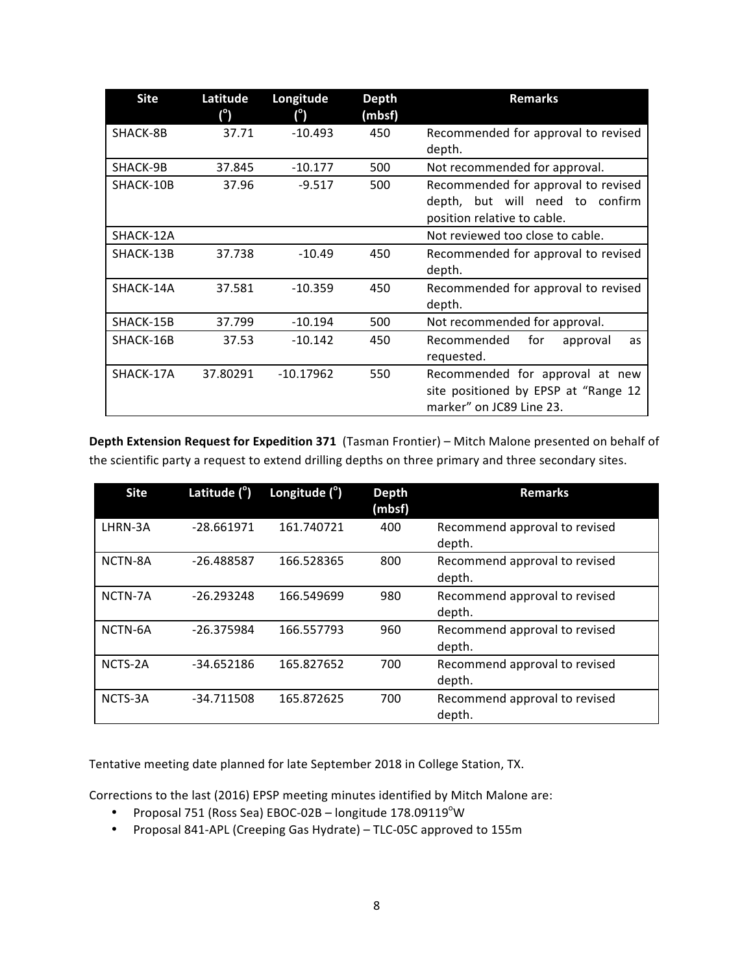| <b>Site</b> | Latitude<br>(°) | Longitude<br>(°) | <b>Depth</b><br>(mbsf) | <b>Remarks</b>                                                                                        |  |  |
|-------------|-----------------|------------------|------------------------|-------------------------------------------------------------------------------------------------------|--|--|
| SHACK-8B    | 37.71           | $-10.493$        | 450                    | Recommended for approval to revised<br>depth.                                                         |  |  |
| SHACK-9B    | 37.845          | $-10.177$        | 500                    | Not recommended for approval.                                                                         |  |  |
| SHACK-10B   | 37.96           | $-9.517$         | 500                    | Recommended for approval to revised<br>depth, but will need to confirm<br>position relative to cable. |  |  |
| SHACK-12A   |                 |                  |                        | Not reviewed too close to cable.                                                                      |  |  |
| SHACK-13B   | 37.738          | $-10.49$         | 450                    | Recommended for approval to revised<br>depth.                                                         |  |  |
| SHACK-14A   | 37.581          | $-10.359$        | 450                    | Recommended for approval to revised<br>depth.                                                         |  |  |
| SHACK-15B   | 37.799          | $-10.194$        | 500                    | Not recommended for approval.                                                                         |  |  |
| SHACK-16B   | 37.53           | $-10.142$        | 450                    | for<br>Recommended<br>approval<br>as<br>requested.                                                    |  |  |
| SHACK-17A   | 37.80291        | $-10.17962$      | 550                    | Recommended for approval at new<br>site positioned by EPSP at "Range 12<br>marker" on JC89 Line 23.   |  |  |

**Depth Extension Request for Expedition 371 (Tasman Frontier) – Mitch Malone presented on behalf of** the scientific party a request to extend drilling depths on three primary and three secondary sites.

| <b>Site</b> | Latitude $(°)$ | Longitude $(°)$ | <b>Depth</b><br>(mbsf) | <b>Remarks</b>                          |  |
|-------------|----------------|-----------------|------------------------|-----------------------------------------|--|
| LHRN-3A     | $-28.661971$   | 161.740721      | 400                    | Recommend approval to revised<br>depth. |  |
| NCTN-8A     | $-26.488587$   | 166.528365      | 800                    | Recommend approval to revised<br>depth. |  |
| NCTN-7A     | $-26.293248$   | 166.549699      | 980                    | Recommend approval to revised<br>depth. |  |
| NCTN-6A     | $-26.375984$   | 166.557793      | 960                    | Recommend approval to revised<br>depth. |  |
| NCTS-2A     | $-34.652186$   | 165.827652      | 700                    | Recommend approval to revised<br>depth. |  |
| NCTS-3A     | $-34.711508$   | 165.872625      | 700                    | Recommend approval to revised<br>depth. |  |

Tentative meeting date planned for late September 2018 in College Station, TX.

Corrections to the last (2016) EPSP meeting minutes identified by Mitch Malone are:

- Proposal 751 (Ross Sea) EBOC-02B longitude  $178.09119^{\circ}$ W
- Proposal 841-APL (Creeping Gas Hydrate) TLC-05C approved to 155m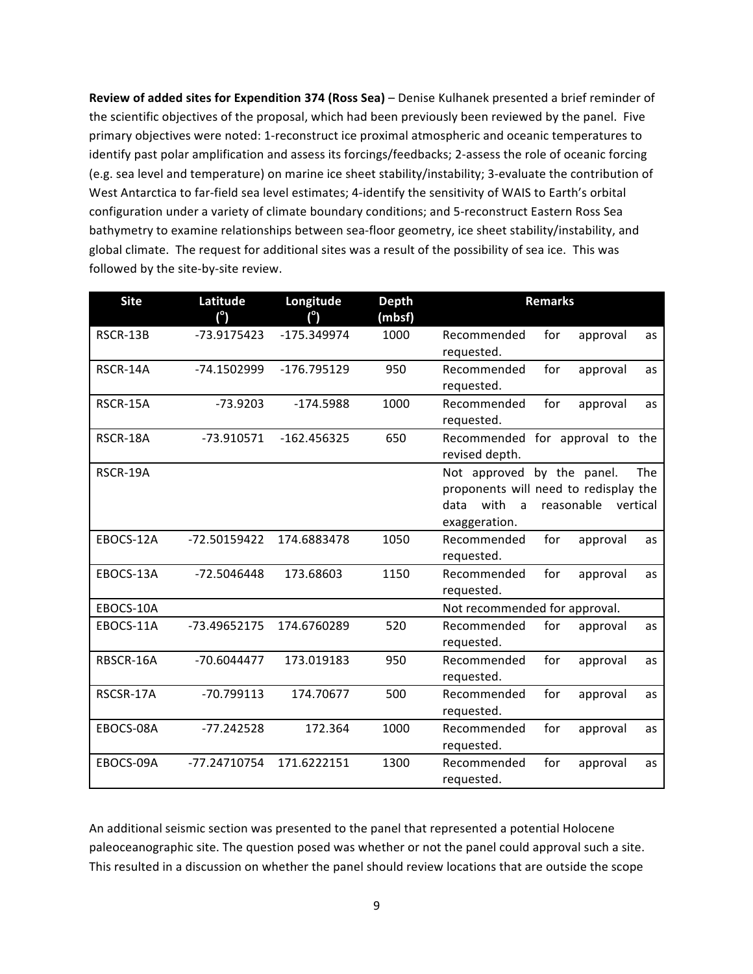**Review of added sites for Expendition 374 (Ross Sea) – Denise Kulhanek presented a brief reminder of** the scientific objectives of the proposal, which had been previously been reviewed by the panel. Five primary objectives were noted: 1-reconstruct ice proximal atmospheric and oceanic temperatures to identify past polar amplification and assess its forcings/feedbacks; 2-assess the role of oceanic forcing (e.g. sea level and temperature) on marine ice sheet stability/instability; 3-evaluate the contribution of West Antarctica to far-field sea level estimates; 4-identify the sensitivity of WAIS to Earth's orbital configuration under a variety of climate boundary conditions; and 5-reconstruct Eastern Ross Sea bathymetry to examine relationships between sea-floor geometry, ice sheet stability/instability, and global climate. The request for additional sites was a result of the possibility of sea ice. This was followed by the site-by-site review.

| <b>Site</b> | Latitude<br>$(^\circ)$ | Longitude<br>(°) | <b>Depth</b><br>(mbsf) |                                                    | <b>Remarks</b>                                                                                 |  |
|-------------|------------------------|------------------|------------------------|----------------------------------------------------|------------------------------------------------------------------------------------------------|--|
| RSCR-13B    | -73.9175423            | -175.349974      | 1000                   | Recommended<br>requested.                          | for<br>approval<br>as                                                                          |  |
| RSCR-14A    | -74.1502999            | $-176.795129$    | 950                    | Recommended<br>requested.                          | for<br>approval<br>as                                                                          |  |
| RSCR-15A    | $-73.9203$             | $-174.5988$      | 1000                   | Recommended<br>requested.                          | for<br>approval<br>as                                                                          |  |
| RSCR-18A    | -73.910571             | $-162.456325$    | 650                    | revised depth.                                     | Recommended for approval to the                                                                |  |
| RSCR-19A    |                        |                  |                        | Not approved<br>with<br>data<br>a<br>exaggeration. | <b>The</b><br>by the panel.<br>proponents will need to redisplay the<br>reasonable<br>vertical |  |
| EBOCS-12A   | -72.50159422           | 174.6883478      | 1050                   | Recommended<br>requested.                          | for<br>approval<br>as                                                                          |  |
| EBOCS-13A   | -72.5046448            | 173.68603        | 1150                   | Recommended<br>requested.                          | for<br>approval<br>as                                                                          |  |
| EBOCS-10A   |                        |                  |                        | Not recommended for approval.                      |                                                                                                |  |
| EBOCS-11A   | -73.49652175           | 174.6760289      | 520                    | Recommended<br>requested.                          | for<br>approval<br>as                                                                          |  |
| RBSCR-16A   | $-70.6044477$          | 173.019183       | 950                    | Recommended<br>requested.                          | for<br>approval<br>as                                                                          |  |
| RSCSR-17A   | $-70.799113$           | 174.70677        | 500                    | Recommended<br>requested.                          | for<br>approval<br>as                                                                          |  |
| EBOCS-08A   | $-77.242528$           | 172.364          | 1000                   | Recommended<br>requested.                          | for<br>approval<br>as                                                                          |  |
| EBOCS-09A   | -77.24710754           | 171.6222151      | 1300                   | Recommended<br>requested.                          | for<br>approval<br>as                                                                          |  |

An additional seismic section was presented to the panel that represented a potential Holocene paleoceanographic site. The question posed was whether or not the panel could approval such a site. This resulted in a discussion on whether the panel should review locations that are outside the scope